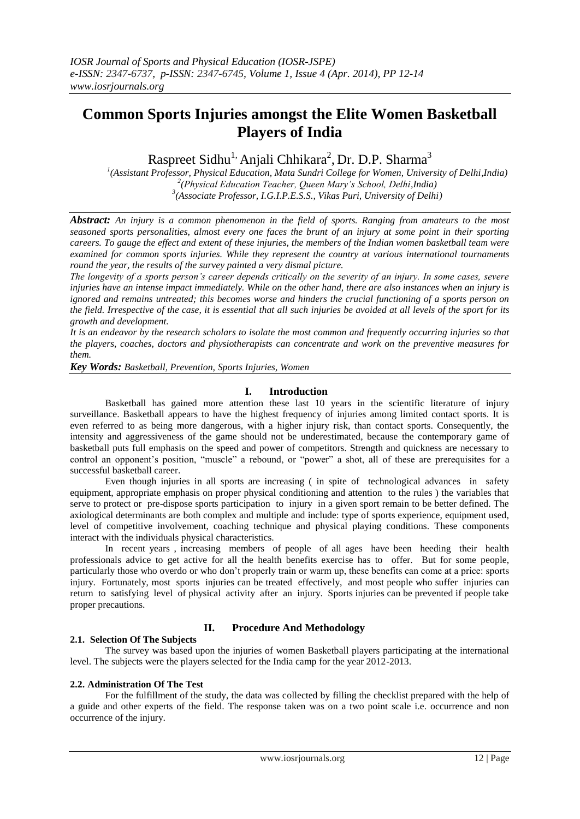## **Common Sports Injuries amongst the Elite Women Basketball Players of India**

Raspreet Sidhu<sup>1,</sup> Anjali Chhikara<sup>2</sup>, Dr. D.P. Sharma<sup>3</sup>

*1 (Assistant Professor, Physical Education, Mata Sundri College for Women, University of Delhi,India) 2 (Physical Education Teacher, Queen Mary's School, Delhi,India) 3 (Associate Professor, I.G.I.P.E.S.S., Vikas Puri, University of Delhi)*

*Abstract: An injury is a common phenomenon in the field of sports. Ranging from amateurs to the most seasoned sports personalities, almost every one faces the brunt of an injury at some point in their sporting careers. To gauge the effect and extent of these injuries, the members of the Indian women basketball team were examined for common sports injuries. While they represent the country at various international tournaments round the year, the results of the survey painted a very dismal picture.*

*The longevity of a sports person's career depends critically on the severity of an injury. In some cases, severe injuries have an intense impact immediately. While on the other hand, there are also instances when an injury is ignored and remains untreated; this becomes worse and hinders the crucial functioning of a sports person on the field. Irrespective of the case, it is essential that all such injuries be avoided at all levels of the sport for its growth and development.*

*It is an endeavor by the research scholars to isolate the most common and frequently occurring injuries so that the players, coaches, doctors and physiotherapists can concentrate and work on the preventive measures for them.* 

*Key Words: Basketball, Prevention, Sports Injuries, Women*

## **I. Introduction**

Basketball has gained more attention these last 10 years in the scientific literature of injury surveillance. Basketball appears to have the highest frequency of injuries among limited contact sports. It is even referred to as being more dangerous, with a higher injury risk, than contact sports. Consequently, the intensity and aggressiveness of the game should not be underestimated, because the contemporary game of basketball puts full emphasis on the speed and power of competitors. Strength and quickness are necessary to control an opponent's position, "muscle" a rebound, or "power" a shot, all of these are prerequisites for a successful basketball career.

Even though injuries in all sports are increasing ( in spite of technological advances in safety equipment, appropriate emphasis on proper physical conditioning and attention to the rules ) the variables that serve to protect or pre-dispose sports participation to injury in a given sport remain to be better defined. The axiological determinants are both complex and multiple and include: type of sports experience, equipment used, level of competitive involvement, coaching technique and physical playing conditions. These components interact with the individuals physical characteristics.

In recent years , increasing members of people of all ages have been heeding their health professionals advice to get active for all the health benefits exercise has to offer. But for some people, particularly those who overdo or who don't properly train or warm up, these benefits can come at a price: sports injury. Fortunately, most sports injuries can be treated effectively, and most people who suffer injuries can return to satisfying level of physical activity after an injury. Sports injuries can be prevented if people take proper precautions.

## **II. Procedure And Methodology**

## **2.1. Selection Of The Subjects**

The survey was based upon the injuries of women Basketball players participating at the international level. The subjects were the players selected for the India camp for the year 2012-2013.

## **2.2. Administration Of The Test**

For the fulfillment of the study, the data was collected by filling the checklist prepared with the help of a guide and other experts of the field. The response taken was on a two point scale i.e. occurrence and non occurrence of the injury.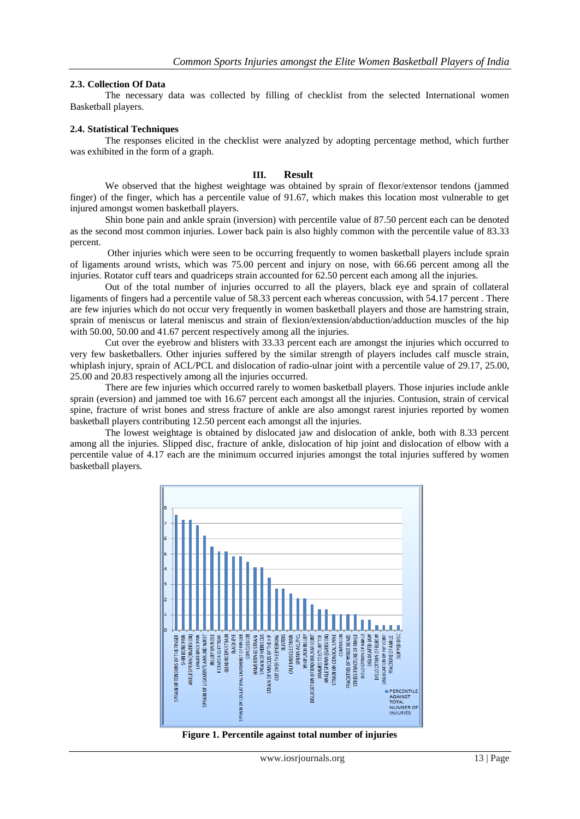### **2.3. Collection Of Data**

The necessary data was collected by filling of checklist from the selected International women Basketball players.

### **2.4. Statistical Techniques**

The responses elicited in the checklist were analyzed by adopting percentage method, which further was exhibited in the form of a graph.

#### **III. Result**

We observed that the highest weightage was obtained by sprain of flexor/extensor tendons (jammed finger) of the finger, which has a percentile value of 91.67, which makes this location most vulnerable to get injured amongst women basketball players.

Shin bone pain and ankle sprain (inversion) with percentile value of 87.50 percent each can be denoted as the second most common injuries. Lower back pain is also highly common with the percentile value of 83.33 percent.

Other injuries which were seen to be occurring frequently to women basketball players include sprain of ligaments around wrists, which was 75.00 percent and injury on nose, with 66.66 percent among all the injuries. Rotator cuff tears and quadriceps strain accounted for 62.50 percent each among all the injuries.

Out of the total number of injuries occurred to all the players, black eye and sprain of collateral ligaments of fingers had a percentile value of 58.33 percent each whereas concussion, with 54.17 percent . There are few injuries which do not occur very frequently in women basketball players and those are hamstring strain, sprain of meniscus or lateral meniscus and strain of flexion/extension/abduction/adduction muscles of the hip with 50.00, 50.00 and 41.67 percent respectively among all the injuries.

Cut over the eyebrow and blisters with 33.33 percent each are amongst the injuries which occurred to very few basketballers. Other injuries suffered by the similar strength of players includes calf muscle strain, whiplash injury, sprain of ACL/PCL and dislocation of radio-ulnar joint with a percentile value of 29.17, 25.00, 25.00 and 20.83 respectively among all the injuries occurred.

There are few injuries which occurred rarely to women basketball players. Those injuries include ankle sprain (eversion) and jammed toe with 16.67 percent each amongst all the injuries. Contusion, strain of cervical spine, fracture of wrist bones and stress fracture of ankle are also amongst rarest injuries reported by women basketball players contributing 12.50 percent each amongst all the injuries.

The lowest weightage is obtained by dislocated jaw and dislocation of ankle, both with 8.33 percent among all the injuries. Slipped disc, fracture of ankle, dislocation of hip joint and dislocation of elbow with a percentile value of 4.17 each are the minimum occurred injuries amongst the total injuries suffered by women basketball players.



**Figure 1. Percentile against total number of injuries**